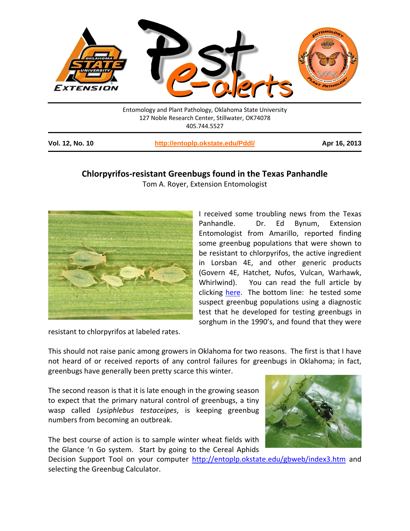

**Vol. 12, No. 10 <http://entoplp.okstate.edu/Pddl/> Apr 16, 2013**

## **Chlorpyrifos-resistant Greenbugs found in the Texas Panhandle**

Tom A. Royer, Extension Entomologist



I received some troubling news from the Texas Panhandle. Dr. Ed Bynum, Extension Entomologist from Amarillo, reported finding some greenbug populations that were shown to be resistant to chlorpyrifos, the active ingredient in Lorsban 4E, and other generic products (Govern 4E, Hatchet, Nufos, Vulcan, Warhawk, Whirlwind). You can read the full article by clicking [here.](http://texashighplainsinsects.net/april-12th-special-edition/) The bottom line: he tested some suspect greenbug populations using a diagnostic test that he developed for testing greenbugs in sorghum in the 1990's, and found that they were

resistant to chlorpyrifos at labeled rates.

This should not raise panic among growers in Oklahoma for two reasons. The first is that I have not heard of or received reports of any control failures for greenbugs in Oklahoma; in fact, greenbugs have generally been pretty scarce this winter.

The second reason is that it is late enough in the growing season to expect that the primary natural control of greenbugs, a tiny wasp called *Lysiphlebus testaceipes*, is keeping greenbug numbers from becoming an outbreak.

The best course of action is to sample winter wheat fields with the Glance 'n Go system. Start by going to the Cereal Aphids



Decision Support Tool on your computer <http://entoplp.okstate.edu/gbweb/index3.htm> and selecting the Greenbug Calculator.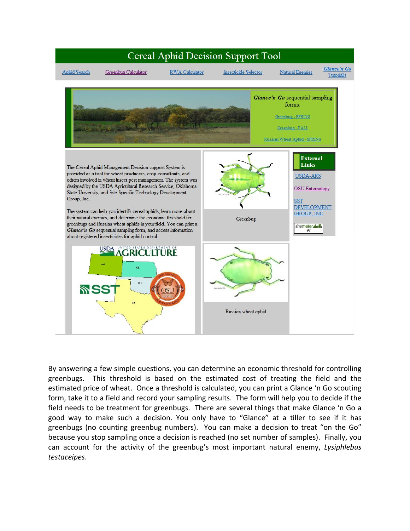

By answering a few simple questions, you can determine an economic threshold for controlling greenbugs. This threshold is based on the estimated cost of treating the field and the estimated price of wheat. Once a threshold is calculated, you can print a Glance 'n Go scouting form, take it to a field and record your sampling results. The form will help you to decide if the field needs to be treatment for greenbugs. There are several things that make Glance 'n Go a good way to make such a decision. You only have to "Glance" at a tiller to see if it has greenbugs (no counting greenbug numbers). You can make a decision to treat "on the Go" because you stop sampling once a decision is reached (no set number of samples). Finally, you can account for the activity of the greenbug's most important natural enemy, *Lysiphlebus testaceipes*.